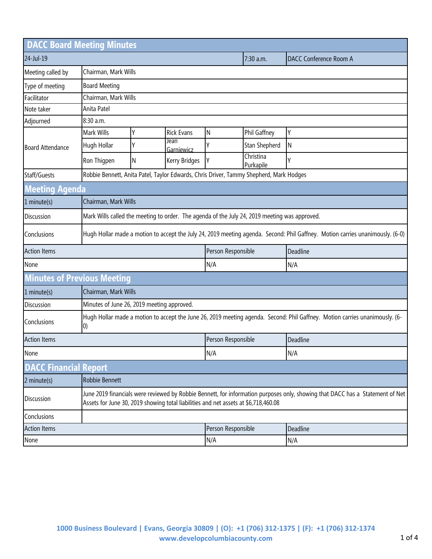| <b>DACC Board Meeting Minutes</b>  |                                                                                                                                                                                                                      |                      |                    |                    |                        |                               |  |
|------------------------------------|----------------------------------------------------------------------------------------------------------------------------------------------------------------------------------------------------------------------|----------------------|--------------------|--------------------|------------------------|-------------------------------|--|
| 24-Jul-19                          |                                                                                                                                                                                                                      |                      |                    |                    | 7:30 a.m.              | <b>DACC Conference Room A</b> |  |
| Meeting called by                  |                                                                                                                                                                                                                      | Chairman, Mark Wills |                    |                    |                        |                               |  |
| Type of meeting                    | <b>Board Meeting</b>                                                                                                                                                                                                 |                      |                    |                    |                        |                               |  |
| Facilitator                        |                                                                                                                                                                                                                      | Chairman, Mark Wills |                    |                    |                        |                               |  |
| Note taker                         | Anita Patel                                                                                                                                                                                                          |                      |                    |                    |                        |                               |  |
| Adjourned                          | 8:30 a.m.                                                                                                                                                                                                            |                      |                    |                    |                        |                               |  |
| <b>Board Attendance</b>            | Mark Wills                                                                                                                                                                                                           | Υ                    | <b>Rick Evans</b>  | N                  | Phil Gaffney           | Υ                             |  |
|                                    | Hugh Hollar                                                                                                                                                                                                          | Υ                    | Jean<br>Garniewicz | γ                  | Stan Shepherd          | $\mathsf{N}$                  |  |
|                                    | Ron Thigpen                                                                                                                                                                                                          | N                    | Kerry Bridges      | Υ                  | Christina<br>Purkapile | γ                             |  |
| Staff/Guests                       | Robbie Bennett, Anita Patel, Taylor Edwards, Chris Driver, Tammy Shepherd, Mark Hodges                                                                                                                               |                      |                    |                    |                        |                               |  |
| <b>Meeting Agenda</b>              |                                                                                                                                                                                                                      |                      |                    |                    |                        |                               |  |
| 1 minute(s)                        | Chairman, Mark Wills                                                                                                                                                                                                 |                      |                    |                    |                        |                               |  |
| <b>Discussion</b>                  | Mark Wills called the meeting to order. The agenda of the July 24, 2019 meeting was approved.                                                                                                                        |                      |                    |                    |                        |                               |  |
| Conclusions                        | Hugh Hollar made a motion to accept the July 24, 2019 meeting agenda. Second: Phil Gaffney. Motion carries unanimously. (6-0)                                                                                        |                      |                    |                    |                        |                               |  |
| <b>Action Items</b>                |                                                                                                                                                                                                                      |                      | Person Responsible |                    | Deadline               |                               |  |
| None                               |                                                                                                                                                                                                                      |                      |                    | N/A                |                        | N/A                           |  |
| <b>Minutes of Previous Meeting</b> |                                                                                                                                                                                                                      |                      |                    |                    |                        |                               |  |
| 1 minute(s)                        |                                                                                                                                                                                                                      | Chairman, Mark Wills |                    |                    |                        |                               |  |
| <b>Discussion</b>                  | Minutes of June 26, 2019 meeting approved.                                                                                                                                                                           |                      |                    |                    |                        |                               |  |
| Conclusions                        | Hugh Hollar made a motion to accept the June 26, 2019 meeting agenda. Second: Phil Gaffney. Motion carries unanimously. (6-<br>$\left( 0\right)$                                                                     |                      |                    |                    |                        |                               |  |
| <b>Action Items</b>                |                                                                                                                                                                                                                      |                      |                    | Person Responsible |                        | Deadline                      |  |
| None                               |                                                                                                                                                                                                                      |                      |                    | N/A                |                        | N/A                           |  |
| <b>DACC Financial Report</b>       |                                                                                                                                                                                                                      |                      |                    |                    |                        |                               |  |
| 2 minute(s)                        | Robbie Bennett                                                                                                                                                                                                       |                      |                    |                    |                        |                               |  |
| <b>Discussion</b>                  | June 2019 financials were reviewed by Robbie Bennett, for information purposes only, showing that DACC has a Statement of Net<br>Assets for June 30, 2019 showing total liabilities and net assets at \$6,718,460.08 |                      |                    |                    |                        |                               |  |
| Conclusions                        |                                                                                                                                                                                                                      |                      |                    |                    |                        |                               |  |
| <b>Action Items</b>                |                                                                                                                                                                                                                      |                      | Person Responsible |                    | Deadline               |                               |  |
| None                               |                                                                                                                                                                                                                      |                      |                    | N/A                |                        | N/A                           |  |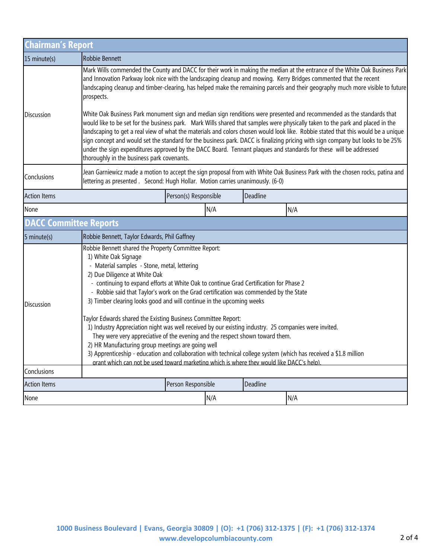| <b>Chairman's Report</b>      |                                                                                                                                                                                                                                                                                                                                                                                                                                                                                                                                                                                                                                                                                                                                                                                                                                                                                                                                                            |                    |          |     |  |  |
|-------------------------------|------------------------------------------------------------------------------------------------------------------------------------------------------------------------------------------------------------------------------------------------------------------------------------------------------------------------------------------------------------------------------------------------------------------------------------------------------------------------------------------------------------------------------------------------------------------------------------------------------------------------------------------------------------------------------------------------------------------------------------------------------------------------------------------------------------------------------------------------------------------------------------------------------------------------------------------------------------|--------------------|----------|-----|--|--|
| 15 minute(s)                  | Robbie Bennett                                                                                                                                                                                                                                                                                                                                                                                                                                                                                                                                                                                                                                                                                                                                                                                                                                                                                                                                             |                    |          |     |  |  |
|                               | Mark Wills commended the County and DACC for their work in making the median at the entrance of the White Oak Business Park<br>and Innovation Parkway look nice with the landscaping cleanup and mowing. Kerry Bridges commented that the recent<br>landscaping cleanup and timber-clearing, has helped make the remaining parcels and their geography much more visible to future<br>prospects.                                                                                                                                                                                                                                                                                                                                                                                                                                                                                                                                                           |                    |          |     |  |  |
| <b>Discussion</b>             | White Oak Business Park monument sign and median sign renditions were presented and recommended as the standards that<br>would like to be set for the business park. Mark Wills shared that samples were physically taken to the park and placed in the<br>landscaping to get a real view of what the materials and colors chosen would look like. Robbie stated that this would be a unique<br>sign concept and would set the standard for the business park. DACC is finalizing pricing with sign company but looks to be 25%<br>under the sign expenditures approved by the DACC Board. Tennant plaques and standards for these will be addressed<br>thoroughly in the business park covenants.                                                                                                                                                                                                                                                         |                    |          |     |  |  |
| Conclusions                   | Jean Garniewicz made a motion to accept the sign proposal from with White Oak Business Park with the chosen rocks, patina and<br>lettering as presented . Second: Hugh Hollar. Motion carries unanimously. (6-0)                                                                                                                                                                                                                                                                                                                                                                                                                                                                                                                                                                                                                                                                                                                                           |                    |          |     |  |  |
| <b>Action Items</b>           | Deadline<br>Person(s) Responsible                                                                                                                                                                                                                                                                                                                                                                                                                                                                                                                                                                                                                                                                                                                                                                                                                                                                                                                          |                    |          |     |  |  |
| None                          |                                                                                                                                                                                                                                                                                                                                                                                                                                                                                                                                                                                                                                                                                                                                                                                                                                                                                                                                                            | N/A                |          | N/A |  |  |
| <b>DACC Committee Reports</b> |                                                                                                                                                                                                                                                                                                                                                                                                                                                                                                                                                                                                                                                                                                                                                                                                                                                                                                                                                            |                    |          |     |  |  |
| $5$ minute(s)                 | Robbie Bennett, Taylor Edwards, Phil Gaffney                                                                                                                                                                                                                                                                                                                                                                                                                                                                                                                                                                                                                                                                                                                                                                                                                                                                                                               |                    |          |     |  |  |
| Discussion                    | Robbie Bennett shared the Property Committee Report:<br>1) White Oak Signage<br>- Material samples - Stone, metal, lettering<br>2) Due Diligence at White Oak<br>- continuing to expand efforts at White Oak to continue Grad Certification for Phase 2<br>- Robbie said that Taylor's work on the Grad certification was commended by the State<br>3) Timber clearing looks good and will continue in the upcoming weeks<br>Taylor Edwards shared the Existing Business Committee Report:<br>1) Industry Appreciation night was well received by our existing industry. 25 companies were invited.<br>They were very appreciative of the evening and the respect shown toward them.<br>2) HR Manufacturing group meetings are going well<br>3) Apprenticeship - education and collaboration with technical college system (which has received a \$1.8 million<br>grant which can not be used toward marketing which is where they would like DACC's help) |                    |          |     |  |  |
| Conclusions                   |                                                                                                                                                                                                                                                                                                                                                                                                                                                                                                                                                                                                                                                                                                                                                                                                                                                                                                                                                            |                    |          |     |  |  |
| <b>Action Items</b>           |                                                                                                                                                                                                                                                                                                                                                                                                                                                                                                                                                                                                                                                                                                                                                                                                                                                                                                                                                            | Person Responsible | Deadline |     |  |  |
| None                          |                                                                                                                                                                                                                                                                                                                                                                                                                                                                                                                                                                                                                                                                                                                                                                                                                                                                                                                                                            | N/A                |          | N/A |  |  |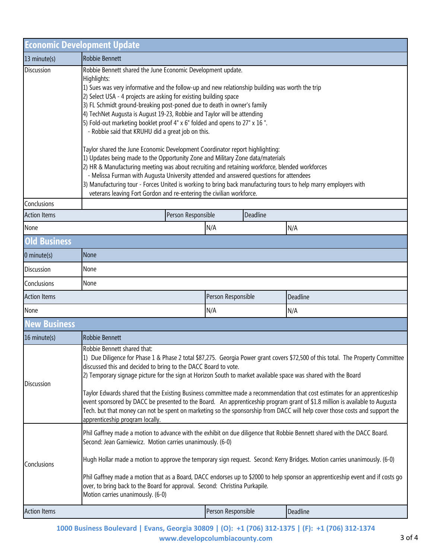|                     | <b>Economic Development Update</b>                                                                                                                                                                                                                                                                                                                                                                                                                                                                                                                                                                                                                                                                                                                                                                                                                                                                                                                                                                                                                                                                   |                    |          |  |  |  |
|---------------------|------------------------------------------------------------------------------------------------------------------------------------------------------------------------------------------------------------------------------------------------------------------------------------------------------------------------------------------------------------------------------------------------------------------------------------------------------------------------------------------------------------------------------------------------------------------------------------------------------------------------------------------------------------------------------------------------------------------------------------------------------------------------------------------------------------------------------------------------------------------------------------------------------------------------------------------------------------------------------------------------------------------------------------------------------------------------------------------------------|--------------------|----------|--|--|--|
| 13 minute(s)        | Robbie Bennett                                                                                                                                                                                                                                                                                                                                                                                                                                                                                                                                                                                                                                                                                                                                                                                                                                                                                                                                                                                                                                                                                       |                    |          |  |  |  |
| <b>Discussion</b>   | Robbie Bennett shared the June Economic Development update.<br>Highlights:<br>1) Sues was very informative and the follow-up and new relationship building was worth the trip<br>2) Select USA - 4 projects are asking for existing building space<br>3) FL Schmidt ground-breaking post-poned due to death in owner's family<br>4) TechNet Augusta is August 19-23, Robbie and Taylor will be attending<br>5) Fold-out marketing booklet proof 4" x 6" folded and opens to 27" x 16".<br>- Robbie said that KRUHU did a great job on this.<br>Taylor shared the June Economic Development Coordinator report highlighting:<br>1) Updates being made to the Opportunity Zone and Military Zone data/materials<br>2) HR & Manufacturing meeting was about recruiting and retaining workforce, blended workforces<br>- Melissa Furman with Augusta University attended and answered questions for attendees<br>3) Manufacturing tour - Forces United is working to bring back manufacturing tours to help marry employers with<br>veterans leaving Fort Gordon and re-entering the civilian workforce. |                    |          |  |  |  |
| Conclusions         |                                                                                                                                                                                                                                                                                                                                                                                                                                                                                                                                                                                                                                                                                                                                                                                                                                                                                                                                                                                                                                                                                                      |                    |          |  |  |  |
| <b>Action Items</b> | Deadline<br>Person Responsible                                                                                                                                                                                                                                                                                                                                                                                                                                                                                                                                                                                                                                                                                                                                                                                                                                                                                                                                                                                                                                                                       |                    |          |  |  |  |
| None                |                                                                                                                                                                                                                                                                                                                                                                                                                                                                                                                                                                                                                                                                                                                                                                                                                                                                                                                                                                                                                                                                                                      | N/A                | N/A      |  |  |  |
| <b>Old Business</b> |                                                                                                                                                                                                                                                                                                                                                                                                                                                                                                                                                                                                                                                                                                                                                                                                                                                                                                                                                                                                                                                                                                      |                    |          |  |  |  |
| $0$ minute(s)       | None                                                                                                                                                                                                                                                                                                                                                                                                                                                                                                                                                                                                                                                                                                                                                                                                                                                                                                                                                                                                                                                                                                 |                    |          |  |  |  |
| <b>Discussion</b>   | None                                                                                                                                                                                                                                                                                                                                                                                                                                                                                                                                                                                                                                                                                                                                                                                                                                                                                                                                                                                                                                                                                                 |                    |          |  |  |  |
| Conclusions         | None                                                                                                                                                                                                                                                                                                                                                                                                                                                                                                                                                                                                                                                                                                                                                                                                                                                                                                                                                                                                                                                                                                 |                    |          |  |  |  |
| <b>Action Items</b> |                                                                                                                                                                                                                                                                                                                                                                                                                                                                                                                                                                                                                                                                                                                                                                                                                                                                                                                                                                                                                                                                                                      | Person Responsible | Deadline |  |  |  |
| None                |                                                                                                                                                                                                                                                                                                                                                                                                                                                                                                                                                                                                                                                                                                                                                                                                                                                                                                                                                                                                                                                                                                      | N/A                | N/A      |  |  |  |
| <b>New Business</b> |                                                                                                                                                                                                                                                                                                                                                                                                                                                                                                                                                                                                                                                                                                                                                                                                                                                                                                                                                                                                                                                                                                      |                    |          |  |  |  |
| 16 minute(s)        | Robbie Bennett                                                                                                                                                                                                                                                                                                                                                                                                                                                                                                                                                                                                                                                                                                                                                                                                                                                                                                                                                                                                                                                                                       |                    |          |  |  |  |
| <b>Discussion</b>   | Robbie Bennett shared that:<br>1) Due Diligence for Phase 1 & Phase 2 total \$87,275. Georgia Power grant covers \$72,500 of this total. The Property Committee<br>discussed this and decided to bring to the DACC Board to vote.<br>2) Temporary signage picture for the sign at Horizon South to market available space was shared with the Board<br>Taylor Edwards shared that the Existing Business committee made a recommendation that cost estimates for an apprenticeship<br>event sponsored by DACC be presented to the Board. An apprenticeship program grant of \$1.8 million is available to Augusta<br>Tech. but that money can not be spent on marketing so the sponsorship from DACC will help cover those costs and support the<br>apprenticeship program locally.                                                                                                                                                                                                                                                                                                                   |                    |          |  |  |  |
| Conclusions         | Phil Gaffney made a motion to advance with the exhibit on due diligence that Robbie Bennett shared with the DACC Board.<br>Second: Jean Garniewicz. Motion carries unanimously. (6-0)<br>Hugh Hollar made a motion to approve the temporary sign request. Second: Kerry Bridges. Motion carries unanimously. (6-0)<br>Phil Gaffney made a motion that as a Board, DACC endorses up to \$2000 to help sponsor an apprenticeship event and if costs go<br>over, to bring back to the Board for approval. Second: Christina Purkapile.<br>Motion carries unanimously. (6-0)                                                                                                                                                                                                                                                                                                                                                                                                                                                                                                                             |                    |          |  |  |  |
| <b>Action Items</b> |                                                                                                                                                                                                                                                                                                                                                                                                                                                                                                                                                                                                                                                                                                                                                                                                                                                                                                                                                                                                                                                                                                      | Person Responsible | Deadline |  |  |  |

**1000 Business Boulevard | Evans, Georgia 30809 | (O): +1 (706) 312-1375 | (F): +1 (706) 312-1374 www.developcolumbiacounty.com** 3 of 4